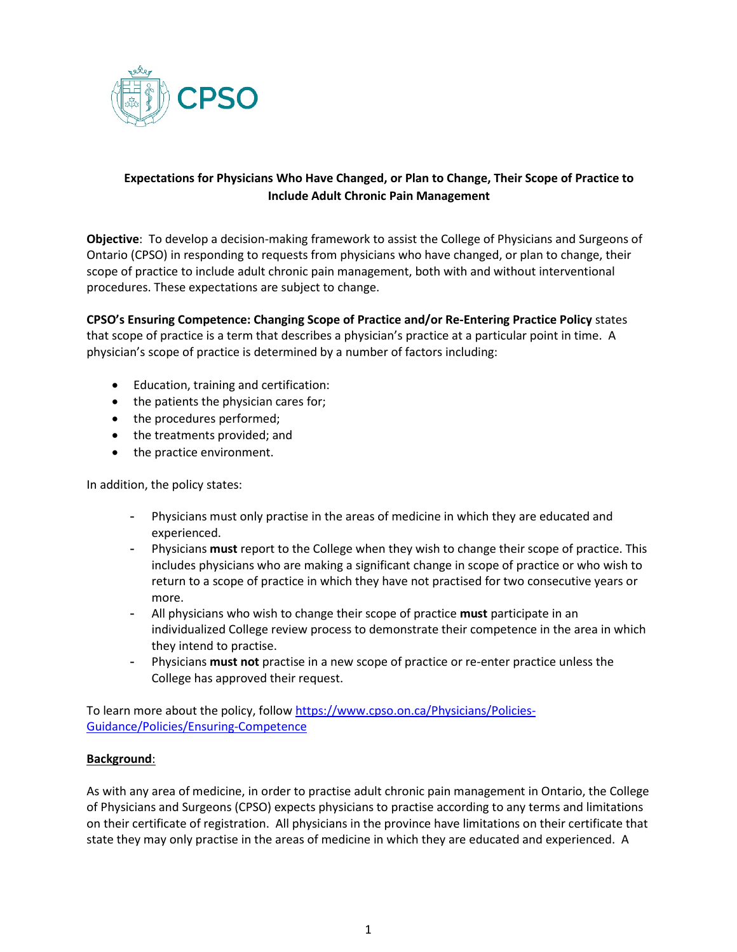

# **Expectations for Physicians Who Have Changed, or Plan to Change, Their Scope of Practice to Include Adult Chronic Pain Management**

**Objective**: To develop a decision-making framework to assist the College of Physicians and Surgeons of Ontario (CPSO) in responding to requests from physicians who have changed, or plan to change, their scope of practice to include adult chronic pain management, both with and without interventional procedures. These expectations are subject to change.

**CPSO's Ensuring Competence: Changing Scope of Practice and/or Re-Entering Practice Policy** states that scope of practice is a term that describes a physician's practice at a particular point in time. A physician's scope of practice is determined by a number of factors including:

- Education, training and certification:
- the patients the physician cares for;
- the procedures performed;
- the treatments provided; and
- the practice environment.

In addition, the policy states:

- Physicians must only practise in the areas of medicine in which they are educated and experienced.
- Physicians **must** report to the College when they wish to change their scope of practice. This includes physicians who are making a significant change in scope of practice or who wish to return to a scope of practice in which they have not practised for two consecutive years or more.
- All physicians who wish to change their scope of practice **must** participate in an individualized College review process to demonstrate their competence in the area in which they intend to practise.
- Physicians **must not** practise in a new scope of practice or re-enter practice unless the College has approved their request.

To learn more about the policy, follo[w https://www.cpso.on.ca/Physicians/Policies-](https://www.cpso.on.ca/Physicians/Policies-Guidance/Policies/Ensuring-Competence)[Guidance/Policies/Ensuring-Competence](https://www.cpso.on.ca/Physicians/Policies-Guidance/Policies/Ensuring-Competence)

### **Background**:

As with any area of medicine, in order to practise adult chronic pain management in Ontario, the College of Physicians and Surgeons (CPSO) expects physicians to practise according to any terms and limitations on their certificate of registration. All physicians in the province have limitations on their certificate that state they may only practise in the areas of medicine in which they are educated and experienced. A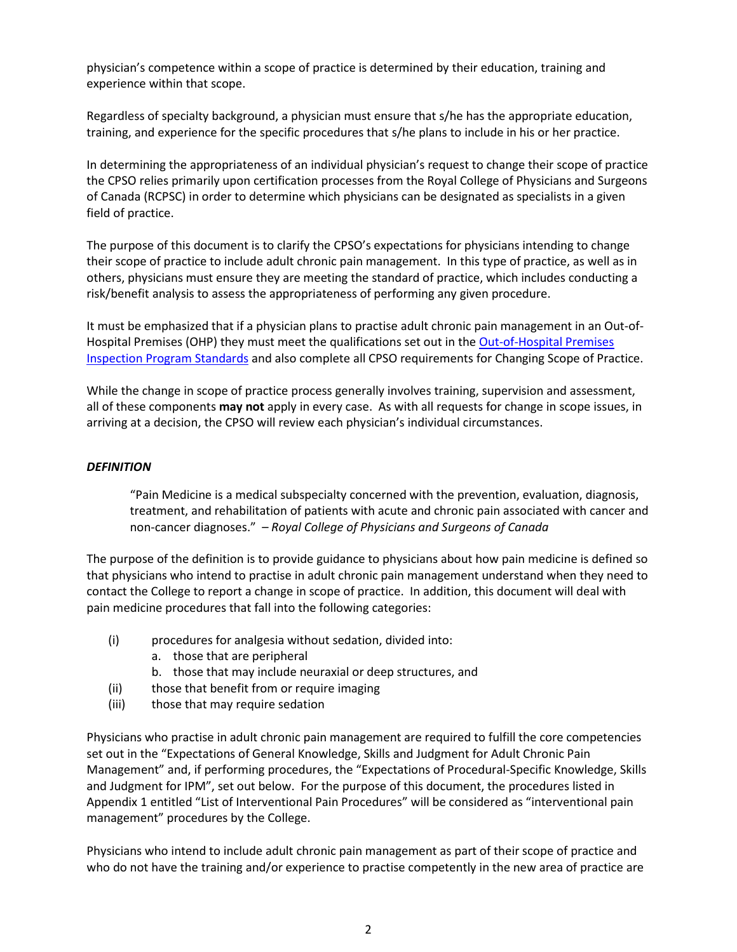physician's competence within a scope of practice is determined by their education, training and experience within that scope.

Regardless of specialty background, a physician must ensure that s/he has the appropriate education, training, and experience for the specific procedures that s/he plans to include in his or her practice.

In determining the appropriateness of an individual physician's request to change their scope of practice the CPSO relies primarily upon certification processes from the Royal College of Physicians and Surgeons of Canada (RCPSC) in order to determine which physicians can be designated as specialists in a given field of practice.

The purpose of this document is to clarify the CPSO's expectations for physicians intending to change their scope of practice to include adult chronic pain management. In this type of practice, as well as in others, physicians must ensure they are meeting the standard of practice, which includes conducting a risk/benefit analysis to assess the appropriateness of performing any given procedure.

It must be emphasized that if a physician plans to practise adult chronic pain management in an Out-of-Hospital Premises (OHP) they must meet the qualifications set out in the [Out-of-Hospital Premises](https://www.cpso.on.ca/admin/CPSO/media/Documents/physician/your-practice/quality-in-practice/clinic-inspections-special-programs/ohpip-standards.pdf)  [Inspection Program Standards](https://www.cpso.on.ca/admin/CPSO/media/Documents/physician/your-practice/quality-in-practice/clinic-inspections-special-programs/ohpip-standards.pdf) and also complete all CPSO requirements for Changing Scope of Practice.

While the change in scope of practice process generally involves training, supervision and assessment, all of these components **may not** apply in every case. As with all requests for change in scope issues, in arriving at a decision, the CPSO will review each physician's individual circumstances.

### *DEFINITION*

"Pain Medicine is a medical subspecialty concerned with the prevention, evaluation, diagnosis, treatment, and rehabilitation of patients with acute and chronic pain associated with cancer and non-cancer diagnoses." – *Royal College of Physicians and Surgeons of Canada*

The purpose of the definition is to provide guidance to physicians about how pain medicine is defined so that physicians who intend to practise in adult chronic pain management understand when they need to contact the College to report a change in scope of practice. In addition, this document will deal with pain medicine procedures that fall into the following categories:

- (i) procedures for analgesia without sedation, divided into:
	- a. those that are peripheral
	- b. those that may include neuraxial or deep structures, and
- (ii) those that benefit from or require imaging
- (iii) those that may require sedation

Physicians who practise in adult chronic pain management are required to fulfill the core competencies set out in the "Expectations of General Knowledge, Skills and Judgment for Adult Chronic Pain Management" and, if performing procedures, the "Expectations of Procedural-Specific Knowledge, Skills and Judgment for IPM", set out below. For the purpose of this document, the procedures listed in Appendix 1 entitled "List of Interventional Pain Procedures" will be considered as "interventional pain management" procedures by the College.

Physicians who intend to include adult chronic pain management as part of their scope of practice and who do not have the training and/or experience to practise competently in the new area of practice are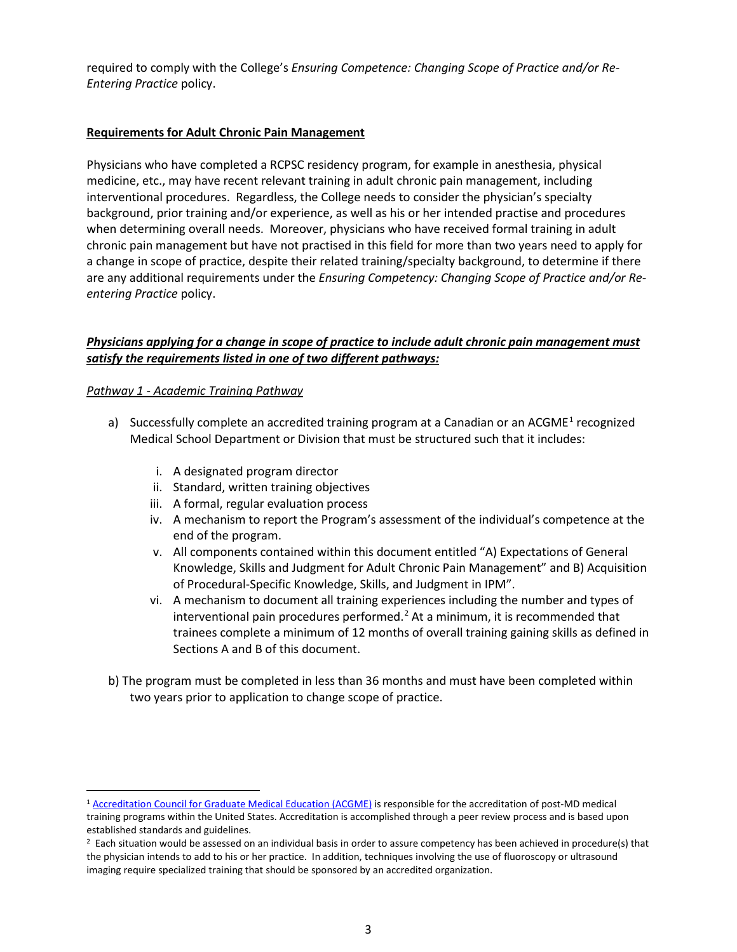required to comply with the College's *Ensuring Competence: Changing Scope of Practice and/or Re-Entering Practice* policy.

### **Requirements for Adult Chronic Pain Management**

Physicians who have completed a RCPSC residency program, for example in anesthesia, physical medicine, etc., may have recent relevant training in adult chronic pain management, including interventional procedures. Regardless, the College needs to consider the physician's specialty background, prior training and/or experience, as well as his or her intended practise and procedures when determining overall needs. Moreover, physicians who have received formal training in adult chronic pain management but have not practised in this field for more than two years need to apply for a change in scope of practice, despite their related training/specialty background, to determine if there are any additional requirements under the *Ensuring Competency: Changing Scope of Practice and/or Reentering Practice* policy.

## *Physicians applying for a change in scope of practice to include adult chronic pain management must satisfy the requirements listed in one of two different pathways:*

### *Pathway 1 - Academic Training Pathway*

- a) Successfully complete an accredited training program at a Canadian or an ACGME<sup>[1](#page-2-0)</sup> recognized Medical School Department or Division that must be structured such that it includes:
	- i. A designated program director
	- ii. Standard, written training objectives
	- iii. A formal, regular evaluation process
	- iv. A mechanism to report the Program's assessment of the individual's competence at the end of the program.
	- v. All components contained within this document entitled "A) Expectations of General Knowledge, Skills and Judgment for Adult Chronic Pain Management" and B) Acquisition of Procedural-Specific Knowledge, Skills, and Judgment in IPM".
	- vi. A mechanism to document all training experiences including the number and types of interventional pain procedures performed.<sup>[2](#page-2-1)</sup> At a minimum, it is recommended that trainees complete a minimum of 12 months of overall training gaining skills as defined in Sections A and B of this document.
- b) The program must be completed in less than 36 months and must have been completed within two years prior to application to change scope of practice.

<span id="page-2-0"></span><sup>&</sup>lt;sup>1</sup> [Accreditation Council for Graduate Medical Education \(ACGME\)](http://www.acgme.org/acWebsite/about/ab_purposeAccred.asp) is responsible for the accreditation of post-MD medical training programs within the United States. Accreditation is accomplished through a peer review process and is based upon established standards and guidelines.

<span id="page-2-1"></span><sup>&</sup>lt;sup>2</sup> Each situation would be assessed on an individual basis in order to assure competency has been achieved in procedure(s) that the physician intends to add to his or her practice. In addition, techniques involving the use of fluoroscopy or ultrasound imaging require specialized training that should be sponsored by an accredited organization.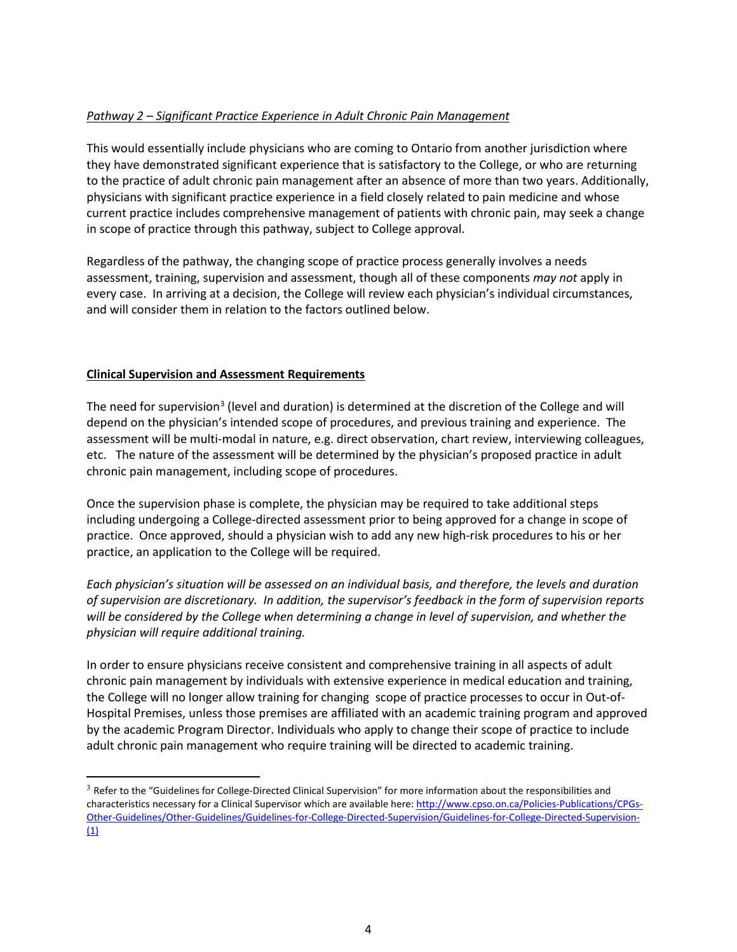## *Pathway 2 – Significant Practice Experience in Adult Chronic Pain Management*

This would essentially include physicians who are coming to Ontario from another jurisdiction where they have demonstrated significant experience that is satisfactory to the College, or who are returning to the practice of adult chronic pain management after an absence of more than two years. Additionally, physicians with significant practice experience in a field closely related to pain medicine and whose current practice includes comprehensive management of patients with chronic pain, may seek a change in scope of practice through this pathway, subject to College approval.

Regardless of the pathway, the changing scope of practice process generally involves a needs assessment, training, supervision and assessment, though all of these components *may not* apply in every case. In arriving at a decision, the College will review each physician's individual circumstances, and will consider them in relation to the factors outlined below.

### **Clinical Supervision and Assessment Requirements**

The need for supervision<sup>[3](#page-3-0)</sup> (level and duration) is determined at the discretion of the College and will depend on the physician's intended scope of procedures, and previous training and experience. The assessment will be multi-modal in nature, e.g. direct observation, chart review, interviewing colleagues, etc. The nature of the assessment will be determined by the physician's proposed practice in adult chronic pain management, including scope of procedures.

Once the supervision phase is complete, the physician may be required to take additional steps including undergoing a College-directed assessment prior to being approved for a change in scope of practice. Once approved, should a physician wish to add any new high-risk procedures to his or her practice, an application to the College will be required.

*Each physician's situation will be assessed on an individual basis, and therefore, the levels and duration of supervision are discretionary. In addition, the supervisor's feedback in the form of supervision reports will be considered by the College when determining a change in level of supervision, and whether the physician will require additional training.* 

In order to ensure physicians receive consistent and comprehensive training in all aspects of adult chronic pain management by individuals with extensive experience in medical education and training, the College will no longer allow training for changing scope of practice processes to occur in Out-of-Hospital Premises, unless those premises are affiliated with an academic training program and approved by the academic Program Director. Individuals who apply to change their scope of practice to include adult chronic pain management who require training will be directed to academic training.

<span id="page-3-0"></span><sup>&</sup>lt;sup>3</sup> Refer to the "Guidelines for College-Directed Clinical Supervision" for more information about the responsibilities and characteristics necessary for a Clinical Supervisor which are available here: [http://www.cpso.on.ca/Policies-Publications/CPGs-](http://www.cpso.on.ca/Policies-Publications/CPGs-Other-Guidelines/Other-Guidelines/Guidelines-for-College-Directed-Supervision/Guidelines-for-College-Directed-Supervision-(1))[Other-Guidelines/Other-Guidelines/Guidelines-for-College-Directed-Supervision/Guidelines-for-College-Directed-Supervision-](http://www.cpso.on.ca/Policies-Publications/CPGs-Other-Guidelines/Other-Guidelines/Guidelines-for-College-Directed-Supervision/Guidelines-for-College-Directed-Supervision-(1))  $(1)$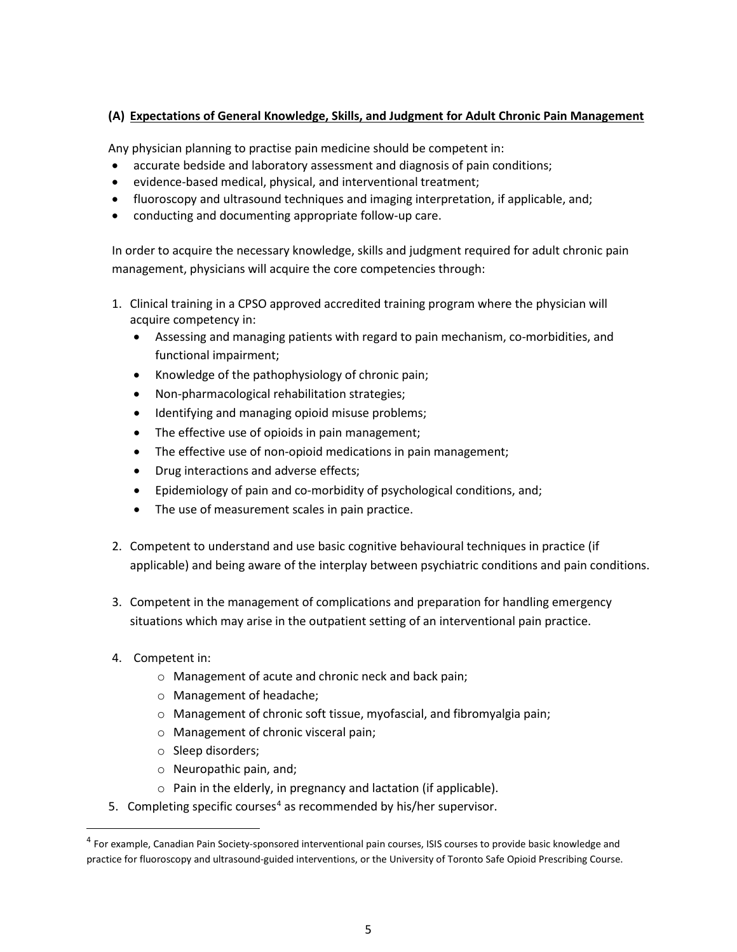# **(A) Expectations of General Knowledge, Skills, and Judgment for Adult Chronic Pain Management**

Any physician planning to practise pain medicine should be competent in:

- accurate bedside and laboratory assessment and diagnosis of pain conditions;
- evidence-based medical, physical, and interventional treatment;
- fluoroscopy and ultrasound techniques and imaging interpretation, if applicable, and;
- conducting and documenting appropriate follow-up care.

In order to acquire the necessary knowledge, skills and judgment required for adult chronic pain management, physicians will acquire the core competencies through:

- 1. Clinical training in a CPSO approved accredited training program where the physician will acquire competency in:
	- Assessing and managing patients with regard to pain mechanism, co-morbidities, and functional impairment;
	- Knowledge of the pathophysiology of chronic pain;
	- Non-pharmacological rehabilitation strategies;
	- Identifying and managing opioid misuse problems;
	- The effective use of opioids in pain management;
	- The effective use of non-opioid medications in pain management;
	- Drug interactions and adverse effects;
	- Epidemiology of pain and co-morbidity of psychological conditions, and;
	- The use of measurement scales in pain practice.
- 2. Competent to understand and use basic cognitive behavioural techniques in practice (if applicable) and being aware of the interplay between psychiatric conditions and pain conditions.
- 3. Competent in the management of complications and preparation for handling emergency situations which may arise in the outpatient setting of an interventional pain practice.
- 4. Competent in:
	- o Management of acute and chronic neck and back pain;
	- o Management of headache;
	- o Management of chronic soft tissue, myofascial, and fibromyalgia pain;
	- o Management of chronic visceral pain;
	- o Sleep disorders;
	- o Neuropathic pain, and;
	- o Pain in the elderly, in pregnancy and lactation (if applicable).
- 5. Completing specific courses<sup>[4](#page-4-0)</sup> as recommended by his/her supervisor.

<span id="page-4-0"></span><sup>&</sup>lt;sup>4</sup> For example, Canadian Pain Society-sponsored interventional pain courses, ISIS courses to provide basic knowledge and practice for fluoroscopy and ultrasound-guided interventions, or the University of Toronto Safe Opioid Prescribing Course.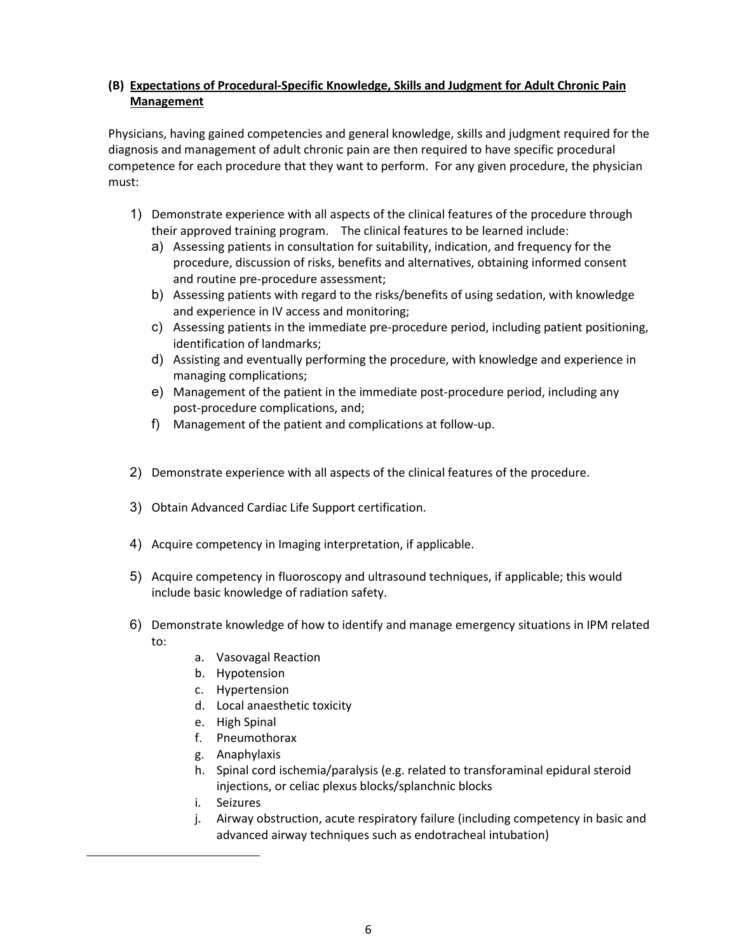# **(B) Expectations of Procedural-Specific Knowledge, Skills and Judgment for Adult Chronic Pain Management**

Physicians, having gained competencies and general knowledge, skills and judgment required for the diagnosis and management of adult chronic pain are then required to have specific procedural competence for each procedure that they want to perform. For any given procedure, the physician must:

- 1) Demonstrate experience with all aspects of the clinical features of the procedure through their approved training program. The clinical features to be learned include:
	- a) Assessing patients in consultation for suitability, indication, and frequency for the procedure, discussion of risks, benefits and alternatives, obtaining informed consent and routine pre-procedure assessment;
	- b) Assessing patients with regard to the risks/benefits of using sedation, with knowledge and experience in IV access and monitoring;
	- c) Assessing patients in the immediate pre-procedure period, including patient positioning, identification of landmarks;
	- d) Assisting and eventually performing the procedure, with knowledge and experience in managing complications;
	- e) Management of the patient in the immediate post-procedure period, including any post-procedure complications, and;
	- f) Management of the patient and complications at follow-up.
- 2) Demonstrate experience with all aspects of the clinical features of the procedure.
- 3) Obtain Advanced Cardiac Life Support certification.
- 4) Acquire competency in Imaging interpretation, if applicable.
- 5) Acquire competency in fluoroscopy and ultrasound techniques, if applicable; this would include basic knowledge of radiation safety.
- 6) Demonstrate knowledge of how to identify and manage emergency situations in IPM related to:
	- a. Vasovagal Reaction
	- b. Hypotension
	- c. Hypertension
	- d. Local anaesthetic toxicity
	- e. High Spinal
	- f. Pneumothorax
	- g. Anaphylaxis
	- h. Spinal cord ischemia/paralysis (e.g. related to transforaminal epidural steroid injections, or celiac plexus blocks/splanchnic blocks
	- i. Seizures
	- j. Airway obstruction, acute respiratory failure (including competency in basic and advanced airway techniques such as endotracheal intubation)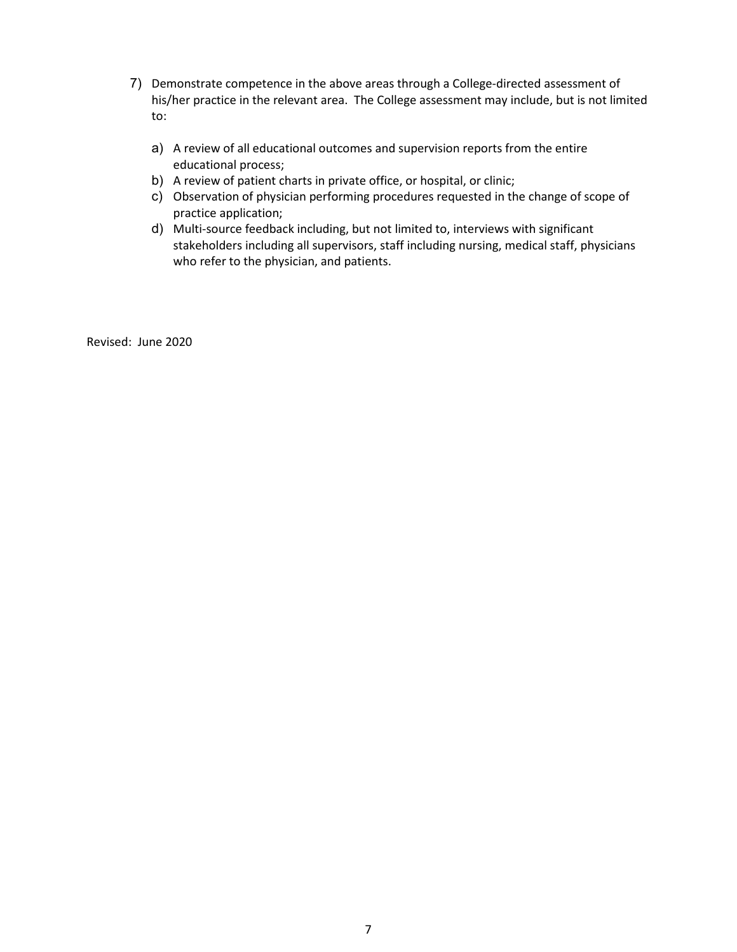- 7) Demonstrate competence in the above areas through a College-directed assessment of his/her practice in the relevant area. The College assessment may include, but is not limited to:
	- a) A review of all educational outcomes and supervision reports from the entire educational process;
	- b) A review of patient charts in private office, or hospital, or clinic;
	- c) Observation of physician performing procedures requested in the change of scope of practice application;
	- d) Multi-source feedback including, but not limited to, interviews with significant stakeholders including all supervisors, staff including nursing, medical staff, physicians who refer to the physician, and patients.

Revised: June 2020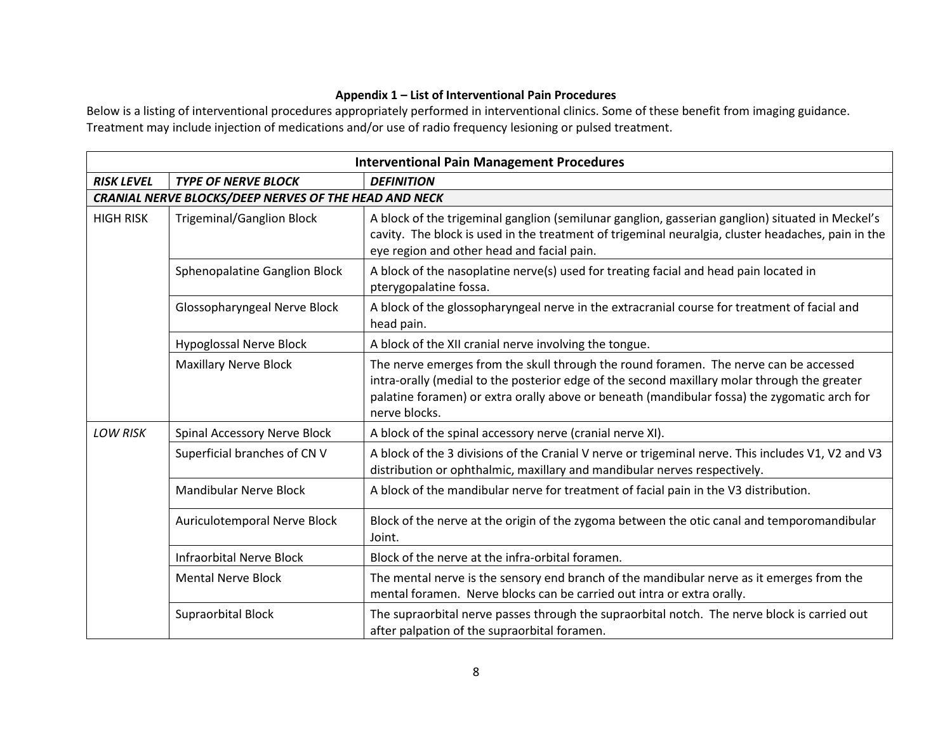# **Appendix 1 – List of Interventional Pain Procedures**

Below is a listing of interventional procedures appropriately performed in interventional clinics. Some of these benefit from imaging guidance. Treatment may include injection of medications and/or use of radio frequency lesioning or pulsed treatment.

| <b>Interventional Pain Management Procedures</b> |                                                              |                                                                                                                                                                                                                                                                                                        |  |  |
|--------------------------------------------------|--------------------------------------------------------------|--------------------------------------------------------------------------------------------------------------------------------------------------------------------------------------------------------------------------------------------------------------------------------------------------------|--|--|
| <b>RISK LEVEL</b>                                | <b>TYPE OF NERVE BLOCK</b>                                   | <b>DEFINITION</b>                                                                                                                                                                                                                                                                                      |  |  |
|                                                  | <b>CRANIAL NERVE BLOCKS/DEEP NERVES OF THE HEAD AND NECK</b> |                                                                                                                                                                                                                                                                                                        |  |  |
| <b>HIGH RISK</b>                                 | <b>Trigeminal/Ganglion Block</b>                             | A block of the trigeminal ganglion (semilunar ganglion, gasserian ganglion) situated in Meckel's<br>cavity. The block is used in the treatment of trigeminal neuralgia, cluster headaches, pain in the<br>eye region and other head and facial pain.                                                   |  |  |
|                                                  | Sphenopalatine Ganglion Block                                | A block of the nasoplatine nerve(s) used for treating facial and head pain located in<br>pterygopalatine fossa.                                                                                                                                                                                        |  |  |
|                                                  | Glossopharyngeal Nerve Block                                 | A block of the glossopharyngeal nerve in the extracranial course for treatment of facial and<br>head pain.                                                                                                                                                                                             |  |  |
|                                                  | <b>Hypoglossal Nerve Block</b>                               | A block of the XII cranial nerve involving the tongue.                                                                                                                                                                                                                                                 |  |  |
|                                                  | <b>Maxillary Nerve Block</b>                                 | The nerve emerges from the skull through the round foramen. The nerve can be accessed<br>intra-orally (medial to the posterior edge of the second maxillary molar through the greater<br>palatine foramen) or extra orally above or beneath (mandibular fossa) the zygomatic arch for<br>nerve blocks. |  |  |
| <b>LOW RISK</b>                                  | Spinal Accessory Nerve Block                                 | A block of the spinal accessory nerve (cranial nerve XI).                                                                                                                                                                                                                                              |  |  |
|                                                  | Superficial branches of CN V                                 | A block of the 3 divisions of the Cranial V nerve or trigeminal nerve. This includes V1, V2 and V3<br>distribution or ophthalmic, maxillary and mandibular nerves respectively.                                                                                                                        |  |  |
|                                                  | <b>Mandibular Nerve Block</b>                                | A block of the mandibular nerve for treatment of facial pain in the V3 distribution.                                                                                                                                                                                                                   |  |  |
|                                                  | Auriculotemporal Nerve Block                                 | Block of the nerve at the origin of the zygoma between the otic canal and temporomandibular<br>Joint.                                                                                                                                                                                                  |  |  |
|                                                  | <b>Infraorbital Nerve Block</b>                              | Block of the nerve at the infra-orbital foramen.                                                                                                                                                                                                                                                       |  |  |
|                                                  | <b>Mental Nerve Block</b>                                    | The mental nerve is the sensory end branch of the mandibular nerve as it emerges from the<br>mental foramen. Nerve blocks can be carried out intra or extra orally.                                                                                                                                    |  |  |
|                                                  | <b>Supraorbital Block</b>                                    | The supraorbital nerve passes through the supraorbital notch. The nerve block is carried out<br>after palpation of the supraorbital foramen.                                                                                                                                                           |  |  |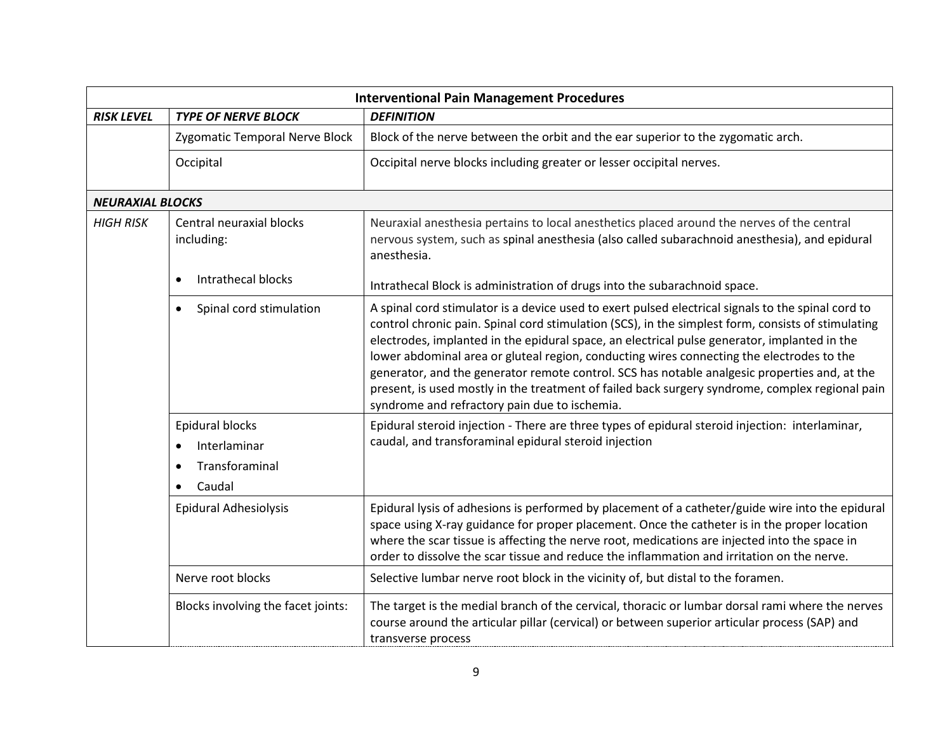| <b>Interventional Pain Management Procedures</b> |                                                                                                    |                                                                                                                                                                                                                                                                                                                                                                                                                                                                                                                                                                                                                                                            |  |  |
|--------------------------------------------------|----------------------------------------------------------------------------------------------------|------------------------------------------------------------------------------------------------------------------------------------------------------------------------------------------------------------------------------------------------------------------------------------------------------------------------------------------------------------------------------------------------------------------------------------------------------------------------------------------------------------------------------------------------------------------------------------------------------------------------------------------------------------|--|--|
| <b>RISK LEVEL</b>                                | <b>TYPE OF NERVE BLOCK</b>                                                                         | <b>DEFINITION</b>                                                                                                                                                                                                                                                                                                                                                                                                                                                                                                                                                                                                                                          |  |  |
|                                                  | Zygomatic Temporal Nerve Block                                                                     | Block of the nerve between the orbit and the ear superior to the zygomatic arch.                                                                                                                                                                                                                                                                                                                                                                                                                                                                                                                                                                           |  |  |
|                                                  | Occipital                                                                                          | Occipital nerve blocks including greater or lesser occipital nerves.                                                                                                                                                                                                                                                                                                                                                                                                                                                                                                                                                                                       |  |  |
|                                                  | <b>NEURAXIAL BLOCKS</b>                                                                            |                                                                                                                                                                                                                                                                                                                                                                                                                                                                                                                                                                                                                                                            |  |  |
| <b>HIGH RISK</b>                                 | Central neuraxial blocks<br>including:                                                             | Neuraxial anesthesia pertains to local anesthetics placed around the nerves of the central<br>nervous system, such as spinal anesthesia (also called subarachnoid anesthesia), and epidural<br>anesthesia.                                                                                                                                                                                                                                                                                                                                                                                                                                                 |  |  |
|                                                  | Intrathecal blocks                                                                                 | Intrathecal Block is administration of drugs into the subarachnoid space.                                                                                                                                                                                                                                                                                                                                                                                                                                                                                                                                                                                  |  |  |
|                                                  | Spinal cord stimulation<br>$\bullet$                                                               | A spinal cord stimulator is a device used to exert pulsed electrical signals to the spinal cord to<br>control chronic pain. Spinal cord stimulation (SCS), in the simplest form, consists of stimulating<br>electrodes, implanted in the epidural space, an electrical pulse generator, implanted in the<br>lower abdominal area or gluteal region, conducting wires connecting the electrodes to the<br>generator, and the generator remote control. SCS has notable analgesic properties and, at the<br>present, is used mostly in the treatment of failed back surgery syndrome, complex regional pain<br>syndrome and refractory pain due to ischemia. |  |  |
|                                                  | Epidural blocks<br>Interlaminar<br>$\bullet$<br>Transforaminal<br>$\bullet$<br>Caudal<br>$\bullet$ | Epidural steroid injection - There are three types of epidural steroid injection: interlaminar,<br>caudal, and transforaminal epidural steroid injection                                                                                                                                                                                                                                                                                                                                                                                                                                                                                                   |  |  |
|                                                  | <b>Epidural Adhesiolysis</b>                                                                       | Epidural lysis of adhesions is performed by placement of a catheter/guide wire into the epidural<br>space using X-ray guidance for proper placement. Once the catheter is in the proper location<br>where the scar tissue is affecting the nerve root, medications are injected into the space in<br>order to dissolve the scar tissue and reduce the inflammation and irritation on the nerve.                                                                                                                                                                                                                                                            |  |  |
|                                                  | Nerve root blocks                                                                                  | Selective lumbar nerve root block in the vicinity of, but distal to the foramen.                                                                                                                                                                                                                                                                                                                                                                                                                                                                                                                                                                           |  |  |
|                                                  | Blocks involving the facet joints:                                                                 | The target is the medial branch of the cervical, thoracic or lumbar dorsal rami where the nerves<br>course around the articular pillar (cervical) or between superior articular process (SAP) and<br>transverse process                                                                                                                                                                                                                                                                                                                                                                                                                                    |  |  |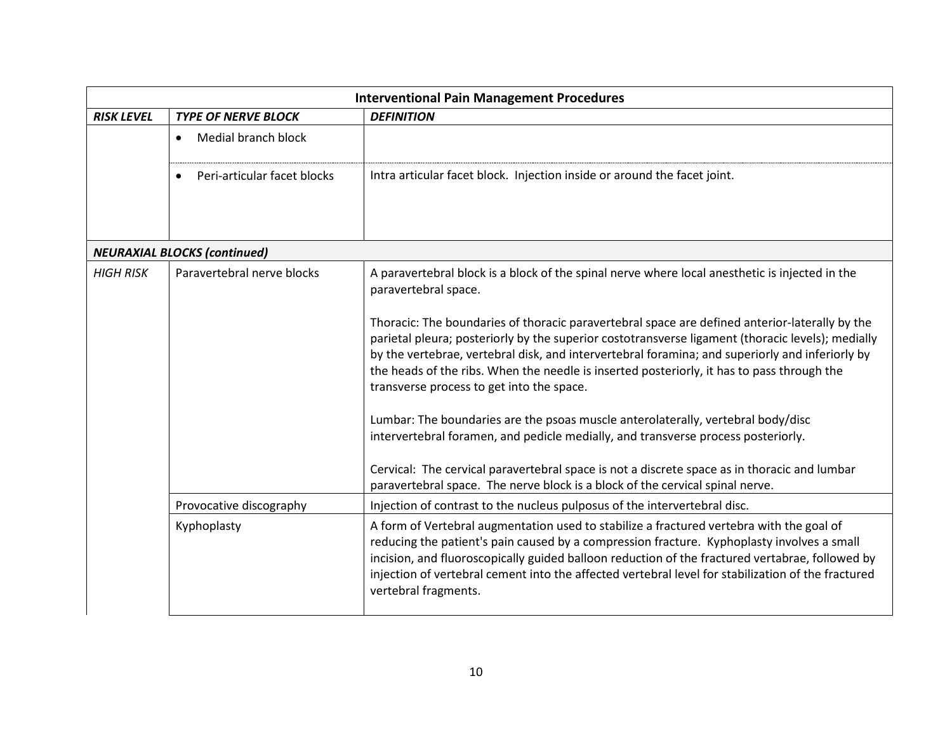| <b>Interventional Pain Management Procedures</b> |                                          |                                                                                                                                                                                                                                                                                                                                                                                                                                                                                                                                                                                                                                                                                                                                                                                                                                                                                                                                       |  |  |
|--------------------------------------------------|------------------------------------------|---------------------------------------------------------------------------------------------------------------------------------------------------------------------------------------------------------------------------------------------------------------------------------------------------------------------------------------------------------------------------------------------------------------------------------------------------------------------------------------------------------------------------------------------------------------------------------------------------------------------------------------------------------------------------------------------------------------------------------------------------------------------------------------------------------------------------------------------------------------------------------------------------------------------------------------|--|--|
| <b>RISK LEVEL</b>                                | <b>TYPE OF NERVE BLOCK</b>               | <b>DEFINITION</b>                                                                                                                                                                                                                                                                                                                                                                                                                                                                                                                                                                                                                                                                                                                                                                                                                                                                                                                     |  |  |
|                                                  | Medial branch block<br>$\bullet$         |                                                                                                                                                                                                                                                                                                                                                                                                                                                                                                                                                                                                                                                                                                                                                                                                                                                                                                                                       |  |  |
|                                                  | Peri-articular facet blocks<br>$\bullet$ | Intra articular facet block. Injection inside or around the facet joint.                                                                                                                                                                                                                                                                                                                                                                                                                                                                                                                                                                                                                                                                                                                                                                                                                                                              |  |  |
|                                                  | <b>NEURAXIAL BLOCKS (continued)</b>      |                                                                                                                                                                                                                                                                                                                                                                                                                                                                                                                                                                                                                                                                                                                                                                                                                                                                                                                                       |  |  |
| <b>HIGH RISK</b>                                 | Paravertebral nerve blocks               | A paravertebral block is a block of the spinal nerve where local anesthetic is injected in the<br>paravertebral space.<br>Thoracic: The boundaries of thoracic paravertebral space are defined anterior-laterally by the<br>parietal pleura; posteriorly by the superior costotransverse ligament (thoracic levels); medially<br>by the vertebrae, vertebral disk, and intervertebral foramina; and superiorly and inferiorly by<br>the heads of the ribs. When the needle is inserted posteriorly, it has to pass through the<br>transverse process to get into the space.<br>Lumbar: The boundaries are the psoas muscle anterolaterally, vertebral body/disc<br>intervertebral foramen, and pedicle medially, and transverse process posteriorly.<br>Cervical: The cervical paravertebral space is not a discrete space as in thoracic and lumbar<br>paravertebral space. The nerve block is a block of the cervical spinal nerve. |  |  |
|                                                  | Provocative discography                  | Injection of contrast to the nucleus pulposus of the intervertebral disc.                                                                                                                                                                                                                                                                                                                                                                                                                                                                                                                                                                                                                                                                                                                                                                                                                                                             |  |  |
|                                                  | Kyphoplasty                              | A form of Vertebral augmentation used to stabilize a fractured vertebra with the goal of<br>reducing the patient's pain caused by a compression fracture. Kyphoplasty involves a small<br>incision, and fluoroscopically guided balloon reduction of the fractured vertabrae, followed by<br>injection of vertebral cement into the affected vertebral level for stabilization of the fractured<br>vertebral fragments.                                                                                                                                                                                                                                                                                                                                                                                                                                                                                                               |  |  |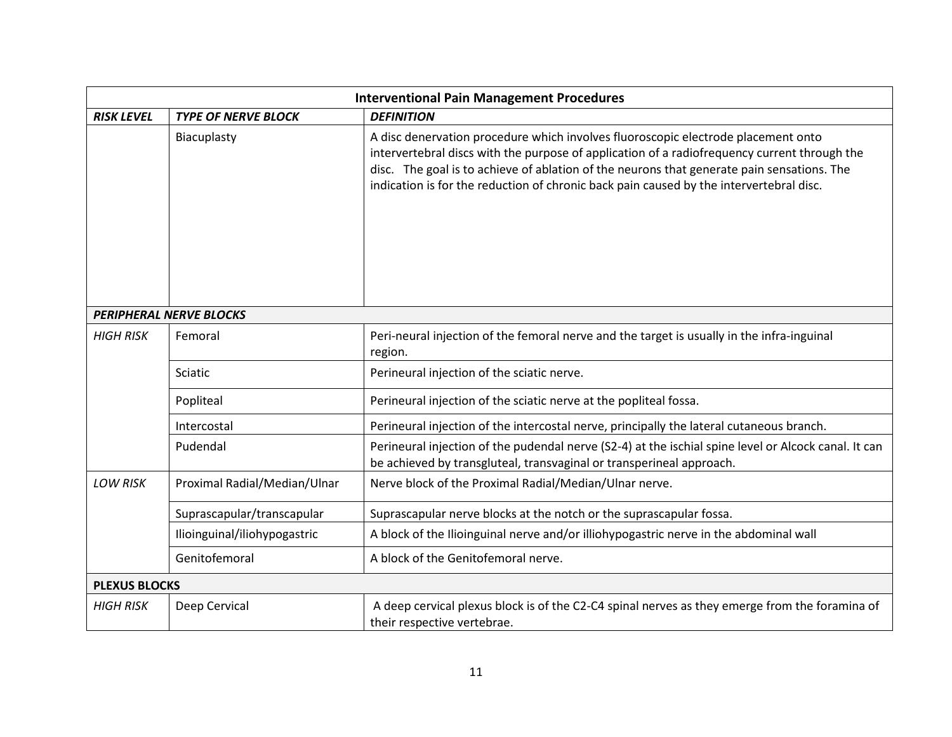| <b>Interventional Pain Management Procedures</b> |                                |                                                                                                                                                                                                                                                                                                                                                                            |  |
|--------------------------------------------------|--------------------------------|----------------------------------------------------------------------------------------------------------------------------------------------------------------------------------------------------------------------------------------------------------------------------------------------------------------------------------------------------------------------------|--|
| <b>RISK LEVEL</b>                                | <b>TYPE OF NERVE BLOCK</b>     | <b>DEFINITION</b>                                                                                                                                                                                                                                                                                                                                                          |  |
|                                                  | Biacuplasty                    | A disc denervation procedure which involves fluoroscopic electrode placement onto<br>intervertebral discs with the purpose of application of a radiofrequency current through the<br>disc. The goal is to achieve of ablation of the neurons that generate pain sensations. The<br>indication is for the reduction of chronic back pain caused by the intervertebral disc. |  |
|                                                  | <b>PERIPHERAL NERVE BLOCKS</b> |                                                                                                                                                                                                                                                                                                                                                                            |  |
| <b>HIGH RISK</b>                                 | Femoral                        | Peri-neural injection of the femoral nerve and the target is usually in the infra-inguinal<br>region.                                                                                                                                                                                                                                                                      |  |
|                                                  | Sciatic                        | Perineural injection of the sciatic nerve.                                                                                                                                                                                                                                                                                                                                 |  |
|                                                  | Popliteal                      | Perineural injection of the sciatic nerve at the popliteal fossa.                                                                                                                                                                                                                                                                                                          |  |
|                                                  | Intercostal                    | Perineural injection of the intercostal nerve, principally the lateral cutaneous branch.                                                                                                                                                                                                                                                                                   |  |
|                                                  | Pudendal                       | Perineural injection of the pudendal nerve (S2-4) at the ischial spine level or Alcock canal. It can<br>be achieved by transgluteal, transvaginal or transperineal approach.                                                                                                                                                                                               |  |
| <b>LOW RISK</b>                                  | Proximal Radial/Median/Ulnar   | Nerve block of the Proximal Radial/Median/Ulnar nerve.                                                                                                                                                                                                                                                                                                                     |  |
|                                                  | Suprascapular/transcapular     | Suprascapular nerve blocks at the notch or the suprascapular fossa.                                                                                                                                                                                                                                                                                                        |  |
|                                                  | Ilioinguinal/iliohypogastric   | A block of the Ilioinguinal nerve and/or illiohypogastric nerve in the abdominal wall                                                                                                                                                                                                                                                                                      |  |
|                                                  | Genitofemoral                  | A block of the Genitofemoral nerve.                                                                                                                                                                                                                                                                                                                                        |  |
| <b>PLEXUS BLOCKS</b>                             |                                |                                                                                                                                                                                                                                                                                                                                                                            |  |
| <b>HIGH RISK</b>                                 | Deep Cervical                  | A deep cervical plexus block is of the C2-C4 spinal nerves as they emerge from the foramina of<br>their respective vertebrae.                                                                                                                                                                                                                                              |  |